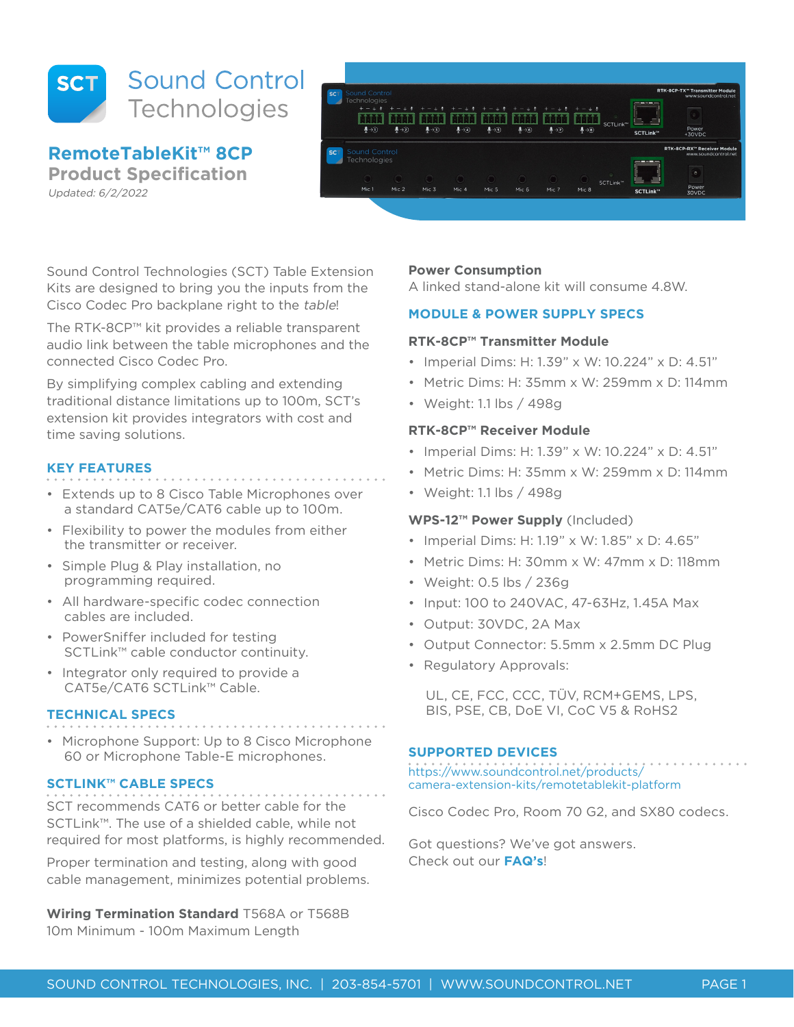

**RemoteTableKit™ 8CP**

**Product Specification**

Updated: 6/2/2022



Sound Control Technologies (SCT) Table Extension Kits are designed to bring you the inputs from the Cisco Codec Pro backplane right to the table!

The RTK-8CP™ kit provides a reliable transparent audio link between the table microphones and the connected Cisco Codec Pro.

By simplifying complex cabling and extending traditional distance limitations up to 100m, SCT's extension kit provides integrators with cost and time saving solutions.

## **KEY FEATURES**

- Extends up to 8 Cisco Table Microphones over a standard CAT5e/CAT6 cable up to 100m.
- Flexibility to power the modules from either the transmitter or receiver.
- Simple Plug & Play installation, no programming required.
- All hardware-specific codec connection cables are included.
- PowerSniffer included for testing SCTLink™ cable conductor continuity.
- Integrator only required to provide a CAT5e/CAT6 SCTLink™ Cable.

# **TECHNICAL SPECS**

• Microphone Support: Up to 8 Cisco Microphone 60 or Microphone Table-E microphones.

# **SCTLINK™ CABLE SPECS**

SCT recommends CAT6 or better cable for the SCTLink™. The use of a shielded cable, while not required for most platforms, is highly recommended.

Proper termination and testing, along with good cable management, minimizes potential problems.

**Wiring Termination Standard** T568A or T568B 10m Minimum - 100m Maximum Length

## **Power Consumption**

A linked stand-alone kit will consume 4.8W.

## **MODULE & POWER SUPPLY SPECS**

# **RTK-8CP™ Transmitter Module**

- Imperial Dims: H: 1.39" x W: 10.224" x D: 4.51"
- Metric Dims: H: 35mm x W: 259mm x D: 114mm
- Weight: 1.1 lbs / 498g

## **RTK-8CP™ Receiver Module**

- Imperial Dims: H: 1.39" x W: 10.224" x D: 4.51"
- Metric Dims: H: 35mm x W: 259mm x D: 114mm
- Weight: 1.1 lbs / 498g

# **WPS-12™ Power Supply** (Included)

- Imperial Dims: H: 1.19" x W: 1.85" x D: 4.65"
- Metric Dims: H: 30mm x W: 47mm x D: 118mm
- Weight: 0.5 lbs / 236g
- Input: 100 to 240VAC, 47-63Hz, 1.45A Max
- Output: 30VDC, 2A Max
- Output Connector: 5.5mm x 2.5mm DC Plug
- Regulatory Approvals:

UL, CE, FCC, CCC, TÜV, RCM+GEMS, LPS, BIS, PSE, CB, DoE VI, CoC V5 & RoHS2

# **SUPPORTED DEVICES**

https://www.soundcontrol.net/products/ camera-extension-kits/remotetablekit-platform

Cisco Codec Pro, Room 70 G2, and SX80 codecs.

Got questions? We've got answers. Check out our **FAQ's**!